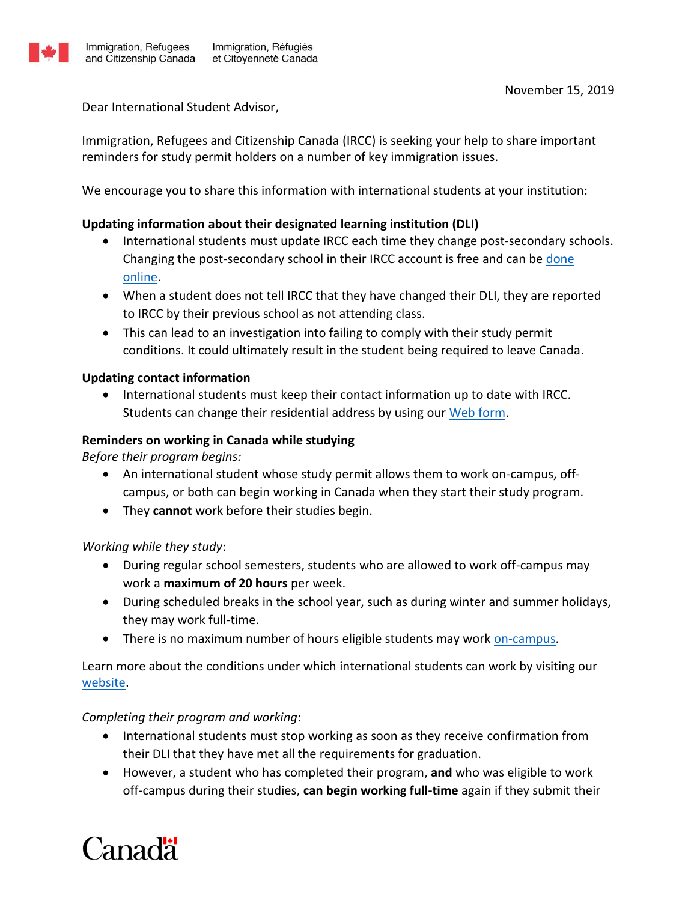

Dear International Student Advisor,

Immigration, Refugees and Citizenship Canada (IRCC) is seeking your help to share important reminders for study permit holders on a number of key immigration issues.

We encourage you to share this information with international students at your institution:

# **Updating information about their designated learning institution (DLI)**

- International students must update IRCC each time they change post-secondary schools. Changing the post-secondary school in their IRCC account is free and can b[e done](https://www.canada.ca/en/immigration-refugees-citizenship/services/study-canada/change-schools/account.html)  [online.](https://www.canada.ca/en/immigration-refugees-citizenship/services/study-canada/change-schools/account.html)
- When a student does not tell IRCC that they have changed their DLI, they are reported to IRCC by their previous school as not attending class.
- This can lead to an investigation into failing to comply with their study permit conditions. It could ultimately result in the student being required to leave Canada.

### **Updating contact information**

 International students must keep their contact information up to date with IRCC. Students can change their residential address by using our [Web form.](https://secure.cic.gc.ca/enquiries-renseignements/canada-case-cas-eng.aspx)

### **Reminders on working in Canada while studying**

*Before their program begins:*

- An international student whose study permit allows them to work on-campus, offcampus, or both can begin working in Canada when they start their study program.
- They **cannot** work before their studies begin.

# *Working while they study*:

- During regular school semesters, students who are allowed to work off-campus may work a **maximum of 20 hours** per week.
- During scheduled breaks in the school year, such as during winter and summer holidays, they may work full-time.
- There is no maximum number of hours eligible students may work [on-campus.](https://www.canada.ca/en/immigration-refugees-citizenship/services/study-canada/work/work-on-campus.html)

Learn more about the conditions under which international students can work by visiting our [website.](https://www.canada.ca/en/immigration-refugees-citizenship/services/study-canada/work.html)

# *Completing their program and working*:

- International students must stop working as soon as they receive confirmation from their DLI that they have met all the requirements for graduation.
- However, a student who has completed their program, **and** who was eligible to work off-campus during their studies, **can begin working full-time** again if they submit their